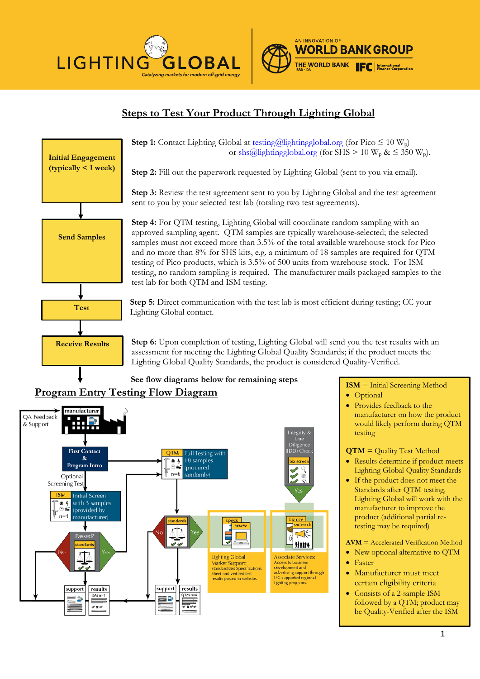



## **Steps to Test Your Product Through Lighting Global**



**Step 1:** Contact Lighting Global at  $\frac{\text{testing}(a)}{\text{lightingglobal.org}}$  (for Pico  $\leq 10 \text{ W}_p$ ) or  $\frac{\sin(\alpha)}{\log(\alpha)}$  or  $\frac{\sin(\alpha)}{\log(\alpha)}$  (for SHS > 10 W<sub>p</sub> &  $\leq$  350 W<sub>p</sub>).

**Step 2:** Fill out the paperwork requested by Lighting Global (sent to you via email).

**Step 3:** Review the test agreement sent to you by Lighting Global and the test agreement sent to you by your selected test lab (totaling two test agreements).

**Step 4:** For QTM testing, Lighting Global will coordinate random sampling with an approved sampling agent. QTM samples are typically warehouse-selected; the selected samples must not exceed more than 3.5% of the total available warehouse stock for Pico and no more than 8% for SHS kits, e.g. a minimum of 18 samples are required for QTM testing of Pico products, which is 3.5% of 500 units from warehouse stock. For ISM testing, no random sampling is required. The manufacturer mails packaged samples to the test lab for both QTM and ISM testing.

**Step 5:** Direct communication with the test lab is most efficient during testing; CC your Lighting Global contact.

**Step 6:** Upon completion of testing, Lighting Global will send you the test results with an assessment for meeting the Lighting Global Quality Standards; if the product meets the Lighting Global Quality Standards, the product is considered Quality-Verified.

### **See flow diagrams below for remaining steps**

#### **Program Entry Testing Flow Diagram** manufacturer QA Feedback & Support **First Contact OTM Full Testing with**  $\mathbf{x}$ 18 samples  $^{*4}_{-11}$ Program Intro (procured  $n=6$ randomly) Optiona **Screening Test ISM Initial Screen** \* 4 with 3 samples  $\tilde{\infty}$ (provided by  $n=1$ manufacturer z dev www 认 **Wille** tandard **Lighting Global Associate Services:** Market Support:<br>Standardized Specifications Access to busine development and development and<br>advertising support through<br>IFC-supported regional Sheet and verified test<br>results posted to website. lighting program support results support results  $QTM$  n=6  $ISM n=1$ SP ED. **Contract** U.  $\sigma$  n  $\sigma$

## **ISM** = Initial Screening Method

- Optional
- Provides feedback to the manufacturer on how the product would likely perform during QTM testing

### **QTM** = Quality Test Method

- Results determine if product meets Lighting Global Quality Standards
- If the product does not meet the Standards after QTM testing, Lighting Global will work with the manufacturer to improve the product (additional partial retesting may be required)

**AVM** = Accelerated Verification Method

- New optional alternative to OTM
- Faster
- Manufacturer must meet certain eligibility criteria
- Consists of a 2-sample ISM followed by a QTM; product may be Quality-Verified after the ISM